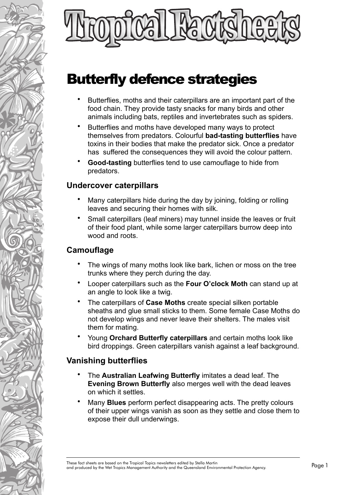

# Butterfly defence strategies

- Butterflies, moths and their caterpillars are an important part of the food chain. They provide tasty snacks for many birds and other animals including bats, reptiles and invertebrates such as spiders.
- Butterflies and moths have developed many ways to protect themselves from predators. Colourful **bad-tasting butterflies** have toxins in their bodies that make the predator sick. Once a predator has suffered the consequences they will avoid the colour pattern.
- **Good-tasting** butterflies tend to use camouflage to hide from predators.

#### **Undercover caterpillars**

- Many caterpillars hide during the day by joining, folding or rolling leaves and securing their homes with silk.
- Small caterpillars (leaf miners) may tunnel inside the leaves or fruit of their food plant, while some larger caterpillars burrow deep into wood and roots.

# **Camouflage**

- The wings of many moths look like bark, lichen or moss on the tree trunks where they perch during the day.
- Looper caterpillars such as the **Four O'clock Moth** can stand up at an angle to look like a twig.
- The caterpillars of **Case Moths** create special silken portable sheaths and glue small sticks to them. Some female Case Moths do not develop wings and never leave their shelters. The males visit them for mating.
- Young **Orchard Butterfly caterpillars** and certain moths look like bird droppings. Green caterpillars vanish against a leaf background.

## **Vanishing butterflies**

- The **Australian Leafwing Butterfly** imitates a dead leaf. The **Evening Brown Butterfly** also merges well with the dead leaves on which it settles.
- Many **Blues** perform perfect disappearing acts. The pretty colours of their upper wings vanish as soon as they settle and close them to expose their dull underwings.

These fact sheets are based on the Tropical Topics newsletters edited by Stella Martin<br>These fact sheets are based on the Tropical Topics newsletters edited by Stella Martin<br>And Protection Agency.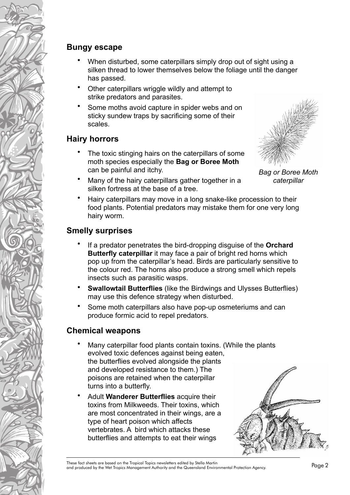#### **Bungy escape**

- When disturbed, some caterpillars simply drop out of sight using a silken thread to lower themselves below the foliage until the danger has passed.
- Other caterpillars wriggle wildly and attempt to strike predators and parasites.
- Some moths avoid capture in spider webs and on sticky sundew traps by sacrificing some of their scales.

#### **Hairy horrors**

- The toxic stinging hairs on the caterpillars of some moth species especially the **Bag or Boree Moth** can be painful and itchy.
- Many of the hairy caterpillars gather together in a silken fortress at the base of a tree.



*Bag or Boree Moth caterpillar*

• Hairy caterpillars may move in a long snake-like procession to their food plants. Potential predators may mistake them for one very long hairy worm.

## **Smelly surprises**

- If a predator penetrates the bird-dropping disguise of the **Orchard Butterfly caterpillar** it may face a pair of bright red horns which pop up from the caterpillar's head. Birds are particularly sensitive to the colour red. The horns also produce a strong smell which repels insects such as parasitic wasps.
- **Swallowtail Butterflies** (like the Birdwings and Ulysses Butterflies) may use this defence strategy when disturbed.
- Some moth caterpillars also have pop-up osmeteriums and can produce formic acid to repel predators.

## **Chemical weapons**

- Many caterpillar food plants contain toxins. (While the plants evolved toxic defences against being eaten, the butterflies evolved alongside the plants and developed resistance to them.) The poisons are retained when the caterpillar turns into a butterfly.
- Adult **Wanderer Butterflies** acquire their toxins from Milkweeds. Their toxins, which are most concentrated in their wings, are a type of heart poison which affects vertebrates. A bird which attacks these butterflies and attempts to eat their wings



These fact sheets are based on the Tropical Topics newsletters edited by Stella Martin<br>These fact sheets are based on the Tropical Topics newsletters edited by Stella Martin<br>And Protection Agency.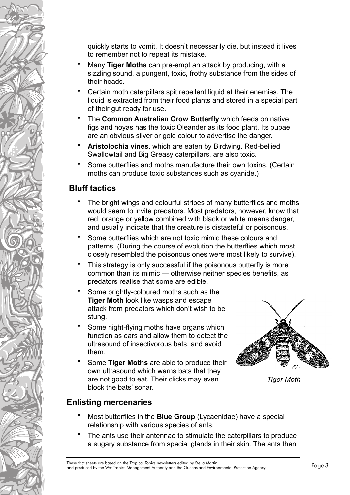quickly starts to vomit. It doesn't necessarily die, but instead it lives to remember not to repeat its mistake.

- Many **Tiger Moths** can pre-empt an attack by producing, with a sizzling sound, a pungent, toxic, frothy substance from the sides of their heads.
- Certain moth caterpillars spit repellent liquid at their enemies. The liquid is extracted from their food plants and stored in a special part of their gut ready for use.
- The **Common Australian Crow Butterfly** which feeds on native figs and hoyas has the toxic Oleander as its food plant. Its pupae are an obvious silver or gold colour to advertise the danger.
- **Aristolochia vines**, which are eaten by Birdwing, Red-bellied Swallowtail and Big Greasy caterpillars, are also toxic.
- Some butterflies and moths manufacture their own toxins. (Certain moths can produce toxic substances such as cyanide.)

## **Bluff tactics**

- The bright wings and colourful stripes of many butterflies and moths would seem to invite predators. Most predators, however, know that red, orange or yellow combined with black or white means danger, and usually indicate that the creature is distasteful or poisonous.
- Some butterflies which are not toxic mimic these colours and patterns. (During the course of evolution the butterflies which most closely resembled the poisonous ones were most likely to survive).
- This strategy is only successful if the poisonous butterfly is more common than its mimic — otherwise neither species benefits, as predators realise that some are edible.
- Some brightly-coloured moths such as the **Tiger Moth** look like wasps and escape attack from predators which don't wish to be stung.
- Some night-flying moths have organs which function as ears and allow them to detect the ultrasound of insectivorous bats, and avoid them.
- Some **Tiger Moths** are able to produce their own ultrasound which warns bats that they are not good to eat. Their clicks may even block the bats' sonar.



*Tiger Moth*

## **Enlisting mercenaries**

- Most butterflies in the **Blue Group** (Lycaenidae) have a special relationship with various species of ants.
- The ants use their antennae to stimulate the caterpillars to produce a sugary substance from special glands in their skin. The ants then